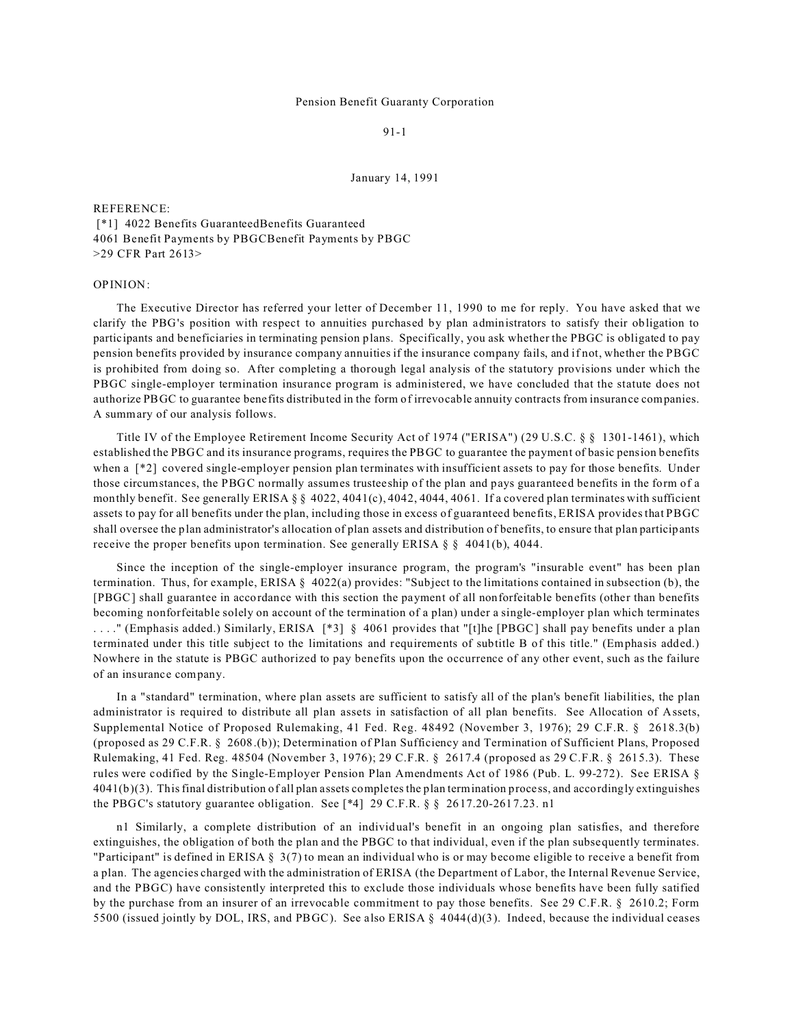## Pension Benefit Guaranty Corporation

91-1

January 14, 1991

## REFERENCE:

 [\*1] 4022 Benefits GuaranteedBenefits Guaranteed 4061 Benefit Payments by PBGCBenefit Payments by PBGC >29 CFR Part 2613>

## OPINION:

The Executive Director has referred your letter of December 11, 1990 to me for reply. You have asked that we clarify the PBG's position with respect to annuities purchased by plan administrators to satisfy their obligation to participants and beneficiaries in terminating pension plans. Specifically, you ask whether the PBGC is obligated to pay pension benefits provided by insurance company annuities if the insurance company fails, and if not, whether the PBGC is prohibited from doing so. After completing a thorough legal analysis of the statutory provisions under which the PBGC single-employer termination insurance program is administered, we have concluded that the statute does not authorize PBGC to guarantee benefits distributed in the form of irrevocable annuity contracts from insurance companies. A summary of our analysis follows.

Title IV of the Employee Retirement Income Security Act of 1974 ("ERISA") (29 U.S.C. § § 1301-1461), which established the PBGC and its insurance programs, requires the PBGC to guarantee the payment of basic pension benefits when a [\*2] covered single-employer pension plan terminates with insufficient assets to pay for those benefits. Under those circumstances, the PBGC normally assumes trusteeship of the plan and pays guaranteed benefits in the form of a monthly benefit. See generally ERISA  $\S$  § 4022, 4041(c), 4042, 4044, 4061. If a covered plan terminates with sufficient assets to pay for all benefits under the plan, including those in excess of guaranteed benefits, ERISA provides that PBGC shall oversee the plan administrator's allocation of plan assets and distribution of benefits, to ensure that plan participants receive the proper benefits upon termination. See generally ERISA  $\S$  § 4041(b), 4044.

Since the inception of the single-employer insurance program, the program's "insurable event" has been plan termination. Thus, for example, ERISA § 4022(a) provides: "Subject to the limitations contained in subsection (b), the [PBGC] shall guarantee in accordance with this section the payment of all nonforfeitable benefits (other than benefits becoming nonforfeitable solely on account of the termination of a plan) under a single-employer plan which terminates . . . ." (Emphasis added.) Similarly, ERISA [\*3] § 4061 provides that "[t]he [PBGC] shall pay benefits under a plan terminated under this title subject to the limitations and requirements of subtitle B of this title." (Emphasis added.) Nowhere in the statute is PBGC authorized to pay benefits upon the occurrence of any other event, such as the failure of an insurance company.

In a "standard" termination, where plan assets are sufficient to satisfy all of the plan's benefit liabilities, the plan administrator is required to distribute all plan assets in satisfaction of all plan benefits. See Allocation of Assets, Supplemental Notice of Proposed Rulemaking, 41 Fed. Reg. 48492 (November 3, 1976); 29 C.F.R. § 2618.3(b) (proposed as 29 C.F.R. § 2608.(b)); Determination of Plan Sufficiency and Termination of Sufficient Plans, Proposed Rulemaking, 41 Fed. Reg. 48504 (November 3, 1976); 29 C.F.R. § 2617.4 (proposed as 29 C.F.R. § 2615.3). These rules were codified by the Single-Employer Pension Plan Amendments Act of 1986 (Pub. L. 99-272). See ERISA §  $4041(b)(3)$ . This final distribution of all plan assets completes the plan termination process, and accordingly extinguishes the PBGC's statutory guarantee obligation. See [\*4] 29 C.F.R. § § 2617.20-2617.23. n1

n1 Similarly, a complete distribution of an individual's benefit in an ongoing plan satisfies, and therefore extinguishes, the obligation of both the plan and the PBGC to that individual, even if the plan subsequently terminates. "Participant" is defined in ERISA § 3(7) to mean an individual who is or may become eligible to receive a benefit from a plan. The agencies charged with the administration of ERISA (the Department of Labor, the Internal Revenue Service, and the PBGC) have consistently interpreted this to exclude those individuals whose benefits have been fully satified by the purchase from an insurer of an irrevocable commitment to pay those benefits. See 29 C.F.R. § 2610.2; Form 5500 (issued jointly by DOL, IRS, and PBGC). See also ERISA § 4044(d)(3). Indeed, because the individual ceases